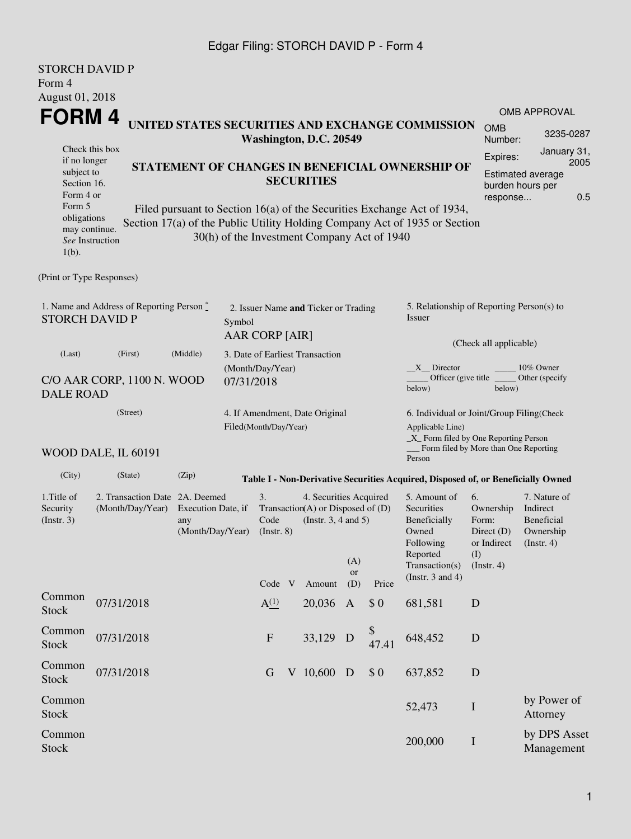#### Edgar Filing: STORCH DAVID P - Form 4

| <b>STORCH DAVID P</b><br>Form 4                                                      |                                                                                                     |                   |                       |                                                                                                                                              |                                                              |                                             |                                                 |                                       |                                                                                                                                                       |                                                                                    |                                                                         |  |  |  |
|--------------------------------------------------------------------------------------|-----------------------------------------------------------------------------------------------------|-------------------|-----------------------|----------------------------------------------------------------------------------------------------------------------------------------------|--------------------------------------------------------------|---------------------------------------------|-------------------------------------------------|---------------------------------------|-------------------------------------------------------------------------------------------------------------------------------------------------------|------------------------------------------------------------------------------------|-------------------------------------------------------------------------|--|--|--|
| August 01, 2018                                                                      |                                                                                                     |                   |                       |                                                                                                                                              |                                                              |                                             |                                                 |                                       |                                                                                                                                                       |                                                                                    | <b>OMB APPROVAL</b>                                                     |  |  |  |
| FORM 4                                                                               |                                                                                                     |                   |                       |                                                                                                                                              |                                                              |                                             |                                                 |                                       | UNITED STATES SECURITIES AND EXCHANGE COMMISSION                                                                                                      | <b>OMB</b>                                                                         |                                                                         |  |  |  |
| Check this box                                                                       |                                                                                                     |                   |                       |                                                                                                                                              |                                                              | Washington, D.C. 20549                      |                                                 |                                       |                                                                                                                                                       | Number:                                                                            | 3235-0287                                                               |  |  |  |
| if no longer<br>subject to<br>Section 16.                                            | STATEMENT OF CHANGES IN BENEFICIAL OWNERSHIP OF                                                     | <b>SECURITIES</b> |                       | Expires:                                                                                                                                     | January 31,<br>2005<br>Estimated average<br>burden hours per |                                             |                                                 |                                       |                                                                                                                                                       |                                                                                    |                                                                         |  |  |  |
| Form 4 or<br>Form 5<br>obligations<br>may continue.<br>See Instruction<br>$1(b)$ .   |                                                                                                     |                   |                       |                                                                                                                                              |                                                              | 30(h) of the Investment Company Act of 1940 |                                                 |                                       | Filed pursuant to Section 16(a) of the Securities Exchange Act of 1934,<br>Section 17(a) of the Public Utility Holding Company Act of 1935 or Section | response                                                                           | 0.5                                                                     |  |  |  |
| (Print or Type Responses)                                                            |                                                                                                     |                   |                       |                                                                                                                                              |                                                              |                                             |                                                 |                                       |                                                                                                                                                       |                                                                                    |                                                                         |  |  |  |
| 1. Name and Address of Reporting Person $\degree$<br><b>STORCH DAVID P</b><br>Symbol |                                                                                                     |                   |                       | <b>AAR CORP [AIR]</b>                                                                                                                        |                                                              | 2. Issuer Name and Ticker or Trading        |                                                 |                                       | 5. Relationship of Reporting Person(s) to<br>Issuer                                                                                                   |                                                                                    |                                                                         |  |  |  |
| (Last)                                                                               | (Middle)                                                                                            |                   |                       |                                                                                                                                              |                                                              |                                             |                                                 | (Check all applicable)                |                                                                                                                                                       |                                                                                    |                                                                         |  |  |  |
| C/O AAR CORP, 1100 N. WOOD<br><b>DALE ROAD</b>                                       | 3. Date of Earliest Transaction<br>(Month/Day/Year)<br>07/31/2018                                   |                   |                       |                                                                                                                                              |                                                              |                                             | $X$ Director<br>Officer (give title _<br>below) | 10% Owner<br>Other (specify<br>below) |                                                                                                                                                       |                                                                                    |                                                                         |  |  |  |
|                                                                                      | (Street)<br>WOOD DALE, IL 60191                                                                     |                   | Filed(Month/Day/Year) |                                                                                                                                              |                                                              | 4. If Amendment, Date Original              |                                                 |                                       | 6. Individual or Joint/Group Filing(Check<br>Applicable Line)<br>$\_X$ Form filed by One Reporting Person<br>Form filed by More than One Reporting    |                                                                                    |                                                                         |  |  |  |
| (City)                                                                               | (State)                                                                                             | (Zip)             |                       |                                                                                                                                              |                                                              |                                             |                                                 |                                       | Person                                                                                                                                                |                                                                                    |                                                                         |  |  |  |
|                                                                                      |                                                                                                     |                   |                       |                                                                                                                                              |                                                              |                                             |                                                 |                                       | Table I - Non-Derivative Securities Acquired, Disposed of, or Beneficially Owned                                                                      |                                                                                    |                                                                         |  |  |  |
| 1. Title of<br>Security<br>(Insert. 3)                                               | 2. Transaction Date 2A. Deemed<br>(Month/Day/Year)<br>Execution Date, if<br>any<br>(Month/Day/Year) |                   |                       | 3.<br>4. Securities Acquired<br>Transaction(A) or Disposed of (D)<br>Code<br>(Instr. $3, 4$ and $5$ )<br>$($ Instr. $8)$<br>(A)<br><b>or</b> |                                                              |                                             |                                                 |                                       | 5. Amount of<br><b>Securities</b><br>Beneficially<br>Owned<br>Following<br>Reported<br>Transaction(s)                                                 | 6.<br>Ownership<br>Form:<br>Direct $(D)$<br>or Indirect<br>(I)<br>$($ Instr. 4 $)$ | 7. Nature of<br>Indirect<br>Beneficial<br>Ownership<br>$($ Instr. 4 $)$ |  |  |  |
|                                                                                      |                                                                                                     |                   |                       | Code V                                                                                                                                       |                                                              | Amount                                      | (D)                                             | Price                                 | (Instr. $3$ and $4$ )                                                                                                                                 |                                                                                    |                                                                         |  |  |  |
| Common<br><b>Stock</b>                                                               | 07/31/2018                                                                                          |                   |                       | A <sup>(1)</sup>                                                                                                                             |                                                              | 20,036                                      | $\mathbf{A}$                                    | \$0                                   | 681,581                                                                                                                                               | D                                                                                  |                                                                         |  |  |  |
| Common<br><b>Stock</b>                                                               | 07/31/2018                                                                                          |                   |                       | $\boldsymbol{\mathrm{F}}$                                                                                                                    |                                                              | 33,129                                      | D                                               | \$<br>47.41                           | 648,452                                                                                                                                               | D                                                                                  |                                                                         |  |  |  |
| Common<br><b>Stock</b>                                                               | 07/31/2018                                                                                          |                   |                       | G                                                                                                                                            |                                                              | V 10,600                                    | D                                               | \$0                                   | 637,852                                                                                                                                               | D                                                                                  |                                                                         |  |  |  |
| Common<br><b>Stock</b>                                                               |                                                                                                     |                   |                       |                                                                                                                                              |                                                              |                                             |                                                 |                                       | 52,473                                                                                                                                                | I                                                                                  | by Power of<br>Attorney                                                 |  |  |  |
| Common<br><b>Stock</b>                                                               |                                                                                                     |                   |                       |                                                                                                                                              |                                                              |                                             |                                                 |                                       | 200,000                                                                                                                                               | $\bf{I}$                                                                           | by DPS Asset<br>Management                                              |  |  |  |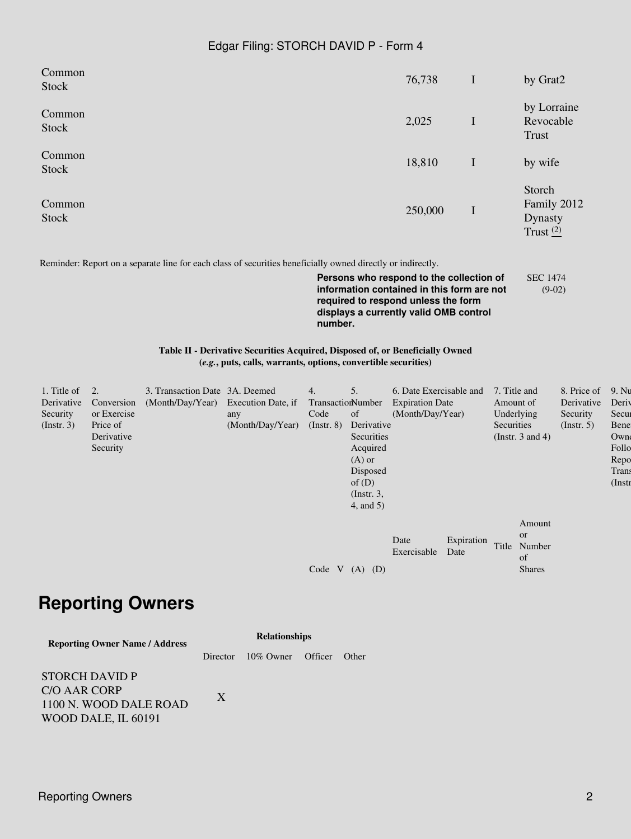#### Edgar Filing: STORCH DAVID P - Form 4

| Common<br>Stock | 76,738  | $\mathbf I$ | by Grat2                                               |
|-----------------|---------|-------------|--------------------------------------------------------|
| Common<br>Stock | 2,025   | I           | by Lorraine<br>Revocable<br>Trust                      |
| Common<br>Stock | 18,810  | $\mathbf I$ | by wife                                                |
| Common<br>Stock | 250,000 | $\bf{I}$    | Storch<br>Family 2012<br><b>Dynasty</b><br>Trust $(2)$ |

Reminder: Report on a separate line for each class of securities beneficially owned directly or indirectly.

**Persons who respond to the collection of information contained in this form are not required to respond unless the form displays a currently valid OMB control number.** SEC 1474 (9-02)

#### **Table II - Derivative Securities Acquired, Disposed of, or Beneficially Owned (***e.g.***, puts, calls, warrants, options, convertible securities)**

| 1. Title of      | $\overline{2}$ . | 3. Transaction Date 3A. Deemed      |                  | 4.                | 5.              | 6. Date Exercisable and |                    | 7. Title and |                           | 8. Price of      | 9. Nu  |
|------------------|------------------|-------------------------------------|------------------|-------------------|-----------------|-------------------------|--------------------|--------------|---------------------------|------------------|--------|
| Derivative       | Conversion       | (Month/Day/Year) Execution Date, if |                  | TransactionNumber |                 | <b>Expiration Date</b>  |                    | Amount of    |                           | Derivative       | Deriy  |
| Security         | or Exercise      |                                     | any              | Code              | of              | (Month/Day/Year)        |                    | Underlying   |                           | Security         | Secur  |
| $($ Instr. 3 $)$ | Price of         |                                     | (Month/Day/Year) | $($ Instr. $8)$   | Derivative      |                         |                    | Securities   |                           | $($ Instr. 5 $)$ | Bene   |
|                  | Derivative       |                                     |                  |                   | Securities      |                         |                    |              | (Instr. $3$ and $4$ )     |                  | Own    |
|                  | Security         |                                     |                  |                   | Acquired        |                         |                    |              |                           |                  | Follo  |
|                  |                  |                                     |                  |                   | $(A)$ or        |                         |                    |              |                           |                  | Repo   |
|                  |                  |                                     |                  |                   | Disposed        |                         |                    |              |                           |                  | Trans  |
|                  |                  |                                     |                  |                   | of $(D)$        |                         |                    |              |                           |                  | (Instr |
|                  |                  |                                     |                  |                   | $($ Instr. 3,   |                         |                    |              |                           |                  |        |
|                  |                  |                                     |                  |                   | $4$ , and $5$ ) |                         |                    |              |                           |                  |        |
|                  |                  |                                     |                  |                   |                 |                         |                    |              | Amount                    |                  |        |
|                  |                  |                                     |                  |                   |                 | Date<br>Exercisable     | Expiration<br>Date | Title        | <b>or</b><br>Number<br>of |                  |        |
|                  |                  |                                     |                  | Code V            | $(A)$ $(D)$     |                         |                    |              | <b>Shares</b>             |                  |        |

### **Reporting Owners**

| <b>Reporting Owner Name / Address</b>         | <b>Relationships</b> |                   |  |       |  |  |  |  |
|-----------------------------------------------|----------------------|-------------------|--|-------|--|--|--|--|
|                                               | Director             | 10% Owner Officer |  | Other |  |  |  |  |
| STORCH DAVID P                                |                      |                   |  |       |  |  |  |  |
| <b>C/O AAR CORP</b><br>1100 N. WOOD DALE ROAD | X                    |                   |  |       |  |  |  |  |

WOOD DALE, IL 60191